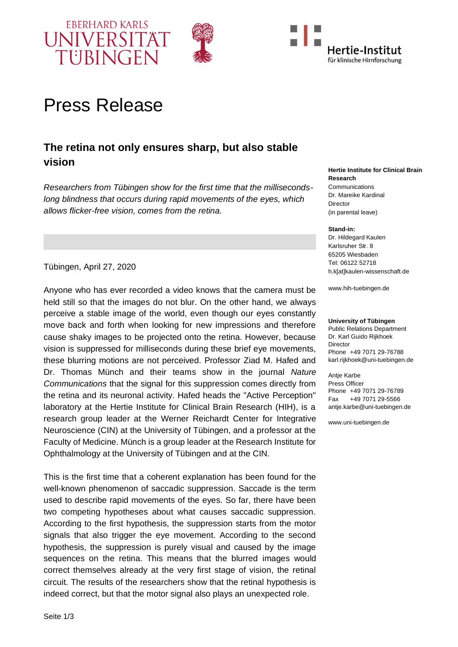





# Press Release

## **The retina not only ensures sharp, but also stable vision**

*Researchers from Tübingen show for the first time that the millisecondslong blindness that occurs during rapid movements of the eyes, which allows flicker-free vision, comes from the retina.*

**Research Communications** Dr. Mareike Kardinal

**Hertie Institute for Clinical Brain** 

**Director** (in parental leave)

#### **Stand-in:**

Dr. Hildegard Kaulen Karlsruher Str. 8 65205 Wiesbaden Tel: 06122 52718 [h.k\[at\]kaulen-wissenschaft.de](javascript:linkTo_UnCryptMailto()

www.hih-tuebingen.de

#### **University of Tübingen**

Public Relations Department Dr. Karl Guido Rijkhoek Director Phone +49 7071 29-76788 karl.rijkhoek@uni-tuebingen.de

**Antie Karbe** Press Officer Phone +49 7071 29-76789 Fax +49 7071 29-5566 antje.karbe@uni-tuebingen.de

www.uni-tuebingen.de

Tübingen, April 27, 2020

Anyone who has ever recorded a video knows that the camera must be held still so that the images do not blur. On the other hand, we always perceive a stable image of the world, even though our eyes constantly move back and forth when looking for new impressions and therefore cause shaky images to be projected onto the retina. However, because vision is suppressed for milliseconds during these brief eye movements, these blurring motions are not perceived. Professor Ziad M. Hafed and Dr. Thomas Münch and their teams show in the journal *Nature Communications* that the signal for this suppression comes directly from the retina and its neuronal activity. Hafed heads the "Active Perception" laboratory at the Hertie Institute for Clinical Brain Research (HIH), is a research group leader at the Werner Reichardt Center for Integrative Neuroscience (CIN) at the University of Tübingen, and a professor at the Faculty of Medicine. Münch is a group leader at the Research Institute for Ophthalmology at the University of Tübingen and at the CIN.

This is the first time that a coherent explanation has been found for the well-known phenomenon of saccadic suppression. Saccade is the term used to describe rapid movements of the eyes. So far, there have been two competing hypotheses about what causes saccadic suppression. According to the first hypothesis, the suppression starts from the motor signals that also trigger the eye movement. According to the second hypothesis, the suppression is purely visual and caused by the image sequences on the retina. This means that the blurred images would correct themselves already at the very first stage of vision, the retinal circuit. The results of the researchers show that the retinal hypothesis is indeed correct, but that the motor signal also plays an unexpected role.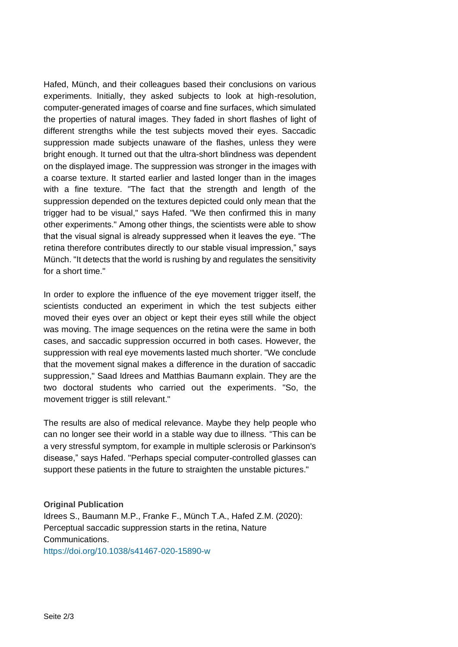Hafed, Münch, and their colleagues based their conclusions on various experiments. Initially, they asked subjects to look at high-resolution, computer-generated images of coarse and fine surfaces, which simulated the properties of natural images. They faded in short flashes of light of different strengths while the test subjects moved their eyes. Saccadic suppression made subjects unaware of the flashes, unless they were bright enough. It turned out that the ultra-short blindness was dependent on the displayed image. The suppression was stronger in the images with a coarse texture. It started earlier and lasted longer than in the images with a fine texture. "The fact that the strength and length of the suppression depended on the textures depicted could only mean that the trigger had to be visual," says Hafed. "We then confirmed this in many other experiments." Among other things, the scientists were able to show that the visual signal is already suppressed when it leaves the eye. "The retina therefore contributes directly to our stable visual impression," says Münch. "It detects that the world is rushing by and regulates the sensitivity for a short time."

In order to explore the influence of the eve movement trigger itself, the scientists conducted an experiment in which the test subjects either moved their eyes over an object or kept their eyes still while the object was moving. The image sequences on the retina were the same in both cases, and saccadic suppression occurred in both cases. However, the suppression with real eye movements lasted much shorter. "We conclude that the movement signal makes a difference in the duration of saccadic suppression," Saad Idrees and Matthias Baumann explain. They are the two doctoral students who carried out the experiments. "So, the movement trigger is still relevant."

The results are also of medical relevance. Maybe they help people who can no longer see their world in a stable way due to illness. "This can be a very stressful symptom, for example in multiple sclerosis or Parkinson's disease," says Hafed. "Perhaps special computer-controlled glasses can support these patients in the future to straighten the unstable pictures."

**Original Publication** Idrees S., Baumann M.P., Franke F., Münch T.A., Hafed Z.M. (2020): Perceptual saccadic suppression starts in the retina, Nature Communications. <https://doi.org/10.1038/s41467-020-15890-w>